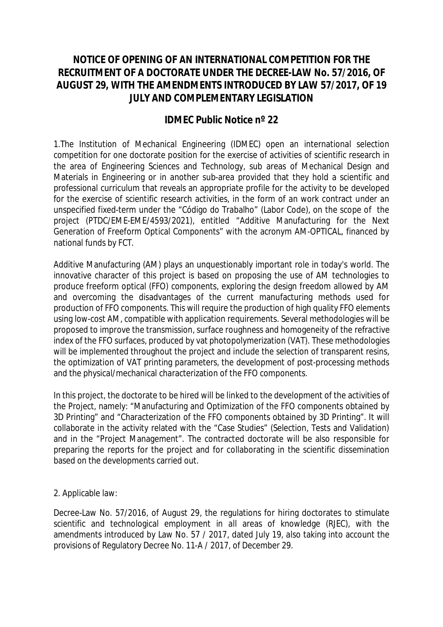## **NOTICE OF OPENING OF AN INTERNATIONAL COMPETITION FOR THE RECRUITMENT OF A DOCTORATE UNDER THE DECREE-LAW No. 57/2016, OF AUGUST 29, WITH THE AMENDMENTS INTRODUCED BY LAW 57/2017, OF 19 JULY AND COMPLEMENTARY LEGISLATION**

## **IDMEC Public Notice nº 22**

1.The Institution of Mechanical Engineering (IDMEC) open an international selection competition for one doctorate position for the exercise of activities of scientific research in the area of Engineering Sciences and Technology, sub areas of Mechanical Design and Materials in Engineering or in another sub-area provided that they hold a scientific and professional curriculum that reveals an appropriate profile for the activity to be developed for the exercise of scientific research activities, in the form of an work contract under an unspecified fixed-term under the "Código do Trabalho" (Labor Code), on the scope of the project (PTDC/EME-EME/4593/2021), entitled "Additive Manufacturing for the Next Generation of Freeform Optical Components" with the acronym AM-OPTICAL, financed by national funds by FCT.

Additive Manufacturing (AM) plays an unquestionably important role in today's world. The innovative character of this project is based on proposing the use of AM technologies to produce freeform optical (FFO) components, exploring the design freedom allowed by AM and overcoming the disadvantages of the current manufacturing methods used for production of FFO components. This will require the production of high quality FFO elements using low-cost AM, compatible with application requirements. Several methodologies will be proposed to improve the transmission, surface roughness and homogeneity of the refractive index of the FFO surfaces, produced by vat photopolymerization (VAT). These methodologies will be implemented throughout the project and include the selection of transparent resins, the optimization of VAT printing parameters, the development of post-processing methods and the physical/mechanical characterization of the FFO components.

In this project, the doctorate to be hired will be linked to the development of the activities of the Project, namely: "Manufacturing and Optimization of the FFO components obtained by 3D Printing" and "Characterization of the FFO components obtained by 3D Printing". It will collaborate in the activity related with the "Case Studies" (Selection, Tests and Validation) and in the "Project Management". The contracted doctorate will be also responsible for preparing the reports for the project and for collaborating in the scientific dissemination based on the developments carried out.

2. Applicable law:

Decree-Law No. 57/2016, of August 29, the regulations for hiring doctorates to stimulate scientific and technological employment in all areas of knowledge (RJEC), with the amendments introduced by Law No. 57 / 2017, dated July 19, also taking into account the provisions of Regulatory Decree No. 11-A / 2017, of December 29.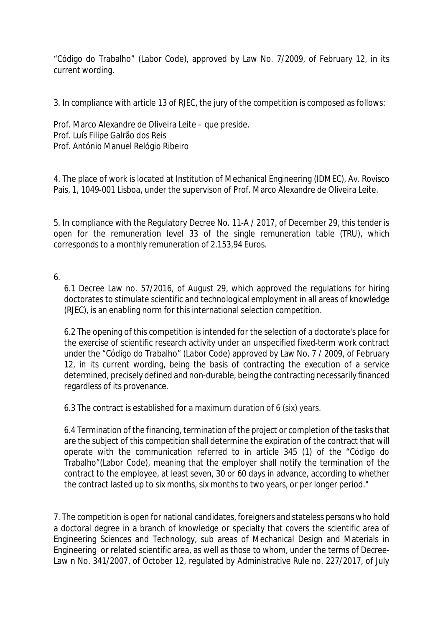"Código do Trabalho" (Labor Code), approved by Law No. 7/2009, of February 12, in its current wording.

3. In compliance with article 13 of RJEC, the jury of the competition is composed as follows:

Prof. Marco Alexandre de Oliveira Leite – que preside. Prof. Luís Filipe Galrão dos Reis Prof. António Manuel Relógio Ribeiro

4. The place of work is located at Institution of Mechanical Engineering (IDMEC), Av. Rovisco Pais, 1, 1049-001 Lisboa, under the supervison of Prof. Marco Alexandre de Oliveira Leite.

5. In compliance with the Regulatory Decree No. 11-A / 2017, of December 29, this tender is open for the remuneration level 33 of the single remuneration table (TRU), which corresponds to a monthly remuneration of 2.153,94 Euros.

6.

6.1 Decree Law no. 57/2016, of August 29, which approved the regulations for hiring doctorates to stimulate scientific and technological employment in all areas of knowledge (RJEC), is an enabling norm for this international selection competition.

6.2 The opening of this competition is intended for the selection of a doctorate's place for the exercise of scientific research activity under an unspecified fixed-term work contract under the "Código do Trabalho" (Labor Code) approved by Law No. 7 / 2009, of February 12, in its current wording, being the basis of contracting the execution of a service determined, precisely defined and non-durable, being the contracting necessarily financed regardless of its provenance.

6.3 The contract is established for a maximum duration of 6 (six) years.

6.4 Termination of the financing, termination of the project or completion of the tasks that are the subject of this competition shall determine the expiration of the contract that will operate with the communication referred to in article 345 (1) of the "Código do Trabalho"(Labor Code), meaning that the employer shall notify the termination of the contract to the employee, at least seven, 30 or 60 days in advance, according to whether the contract lasted up to six months, six months to two years, or per longer period."

7. The competition is open for national candidates, foreigners and stateless persons who hold a doctoral degree in a branch of knowledge or specialty that covers the scientific area of Engineering Sciences and Technology, sub areas of Mechanical Design and Materials in Engineering or related scientific area, as well as those to whom, under the terms of Decree-Law n No. 341/2007, of October 12, regulated by Administrative Rule no. 227/2017, of July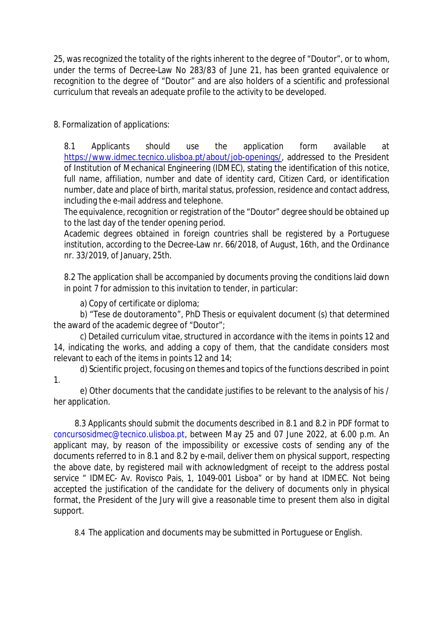25, was recognized the totality of the rights inherent to the degree of "Doutor", or to whom, under the terms of Decree-Law No 283/83 of June 21, has been granted equivalence or recognition to the degree of "Doutor" and are also holders of a scientific and professional curriculum that reveals an adequate profile to the activity to be developed.

8. Formalization of applications:

8.1 Applicants should use the application form available at https://www.idmec.tecnico.ulisboa.pt/about/job-openings/, addressed to the President of Institution of Mechanical Engineering (IDMEC), stating the identification of this notice, full name, affiliation, number and date of identity card, Citizen Card, or identification number, date and place of birth, marital status, profession, residence and contact address, including the e-mail address and telephone.

The equivalence, recognition or registration of the "Doutor" degree should be obtained up to the last day of the tender opening period.

Academic degrees obtained in foreign countries shall be registered by a Portuguese institution, according to the Decree-Law nr. 66/2018, of August, 16th, and the Ordinance nr. 33/2019, of January, 25th.

8.2 The application shall be accompanied by documents proving the conditions laid down in point 7 for admission to this invitation to tender, in particular:

a) Copy of certificate or diploma;

b) "Tese de doutoramento", PhD Thesis or equivalent document (s) that determined the award of the academic degree of "Doutor";

c) Detailed curriculum vitae, structured in accordance with the items in points 12 and 14, indicating the works, and adding a copy of them, that the candidate considers most relevant to each of the items in points 12 and 14;

d) Scientific project, focusing on themes and topics of the functions described in point 1.

e) Other documents that the candidate justifies to be relevant to the analysis of his / her application.

8.3 Applicants should submit the documents described in 8.1 and 8.2 in PDF format to concursosidmec@tecnico.ulisboa.pt, between May 25 and 07 June 2022, at 6.00 p.m. An applicant may, by reason of the impossibility or excessive costs of sending any of the documents referred to in 8.1 and 8.2 by e-mail, deliver them on physical support, respecting the above date, by registered mail with acknowledgment of receipt to the address postal service " IDMEC- Av. Rovisco Pais, 1, 1049-001 Lisboa" or by hand at IDMEC. Not being accepted the justification of the candidate for the delivery of documents only in physical format, the President of the Jury will give a reasonable time to present them also in digital support.

8.4 The application and documents may be submitted in Portuguese or English.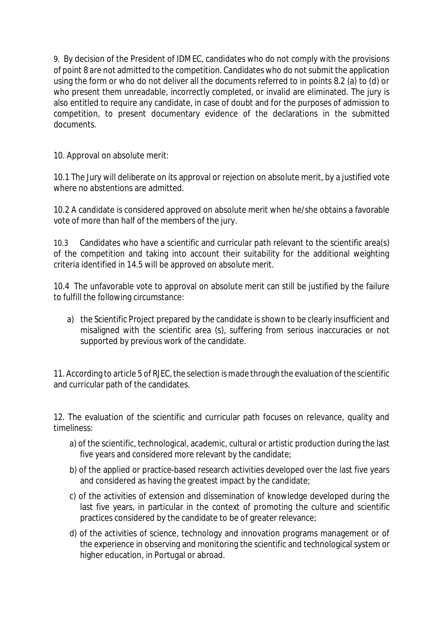9. By decision of the President of IDMEC, candidates who do not comply with the provisions of point 8 are not admitted to the competition. Candidates who do not submit the application using the form or who do not deliver all the documents referred to in points 8.2 (a) to (d) or who present them unreadable, incorrectly completed, or invalid are eliminated. The jury is also entitled to require any candidate, in case of doubt and for the purposes of admission to competition, to present documentary evidence of the declarations in the submitted documents.

10. Approval on absolute merit:

10.1 The Jury will deliberate on its approval or rejection on absolute merit, by a justified vote where no abstentions are admitted.

10.2 A candidate is considered approved on absolute merit when he/she obtains a favorable vote of more than half of the members of the jury.

10.3 Candidates who have a scientific and curricular path relevant to the scientific area(s) of the competition and taking into account their suitability for the additional weighting criteria identified in 14.5 will be approved on absolute merit.

10.4 The unfavorable vote to approval on absolute merit can still be justified by the failure to fulfill the following circumstance:

a) the Scientific Project prepared by the candidate is shown to be clearly insufficient and misaligned with the scientific area (s), suffering from serious inaccuracies or not supported by previous work of the candidate.

11. According to article 5 of RJEC, the selection is made through the evaluation of the scientific and curricular path of the candidates.

12. The evaluation of the scientific and curricular path focuses on relevance, quality and timeliness:

- a) of the scientific, technological, academic, cultural or artistic production during the last five years and considered more relevant by the candidate;
- b) of the applied or practice-based research activities developed over the last five years and considered as having the greatest impact by the candidate;
- c) of the activities of extension and dissemination of knowledge developed during the last five years, in particular in the context of promoting the culture and scientific practices considered by the candidate to be of greater relevance;
- d) of the activities of science, technology and innovation programs management or of the experience in observing and monitoring the scientific and technological system or higher education, in Portugal or abroad.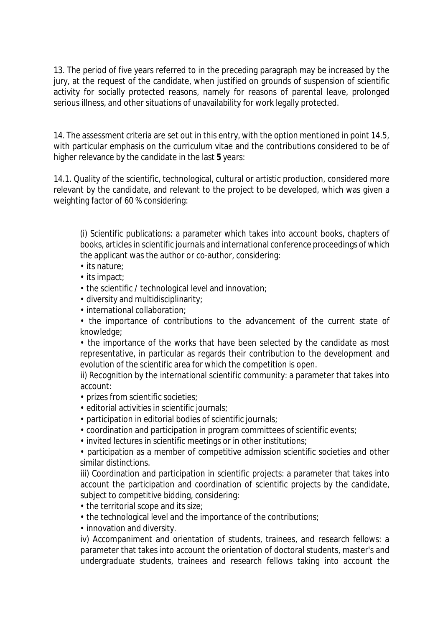13. The period of five years referred to in the preceding paragraph may be increased by the jury, at the request of the candidate, when justified on grounds of suspension of scientific activity for socially protected reasons, namely for reasons of parental leave, prolonged serious illness, and other situations of unavailability for work legally protected.

14. The assessment criteria are set out in this entry, with the option mentioned in point 14.5, with particular emphasis on the curriculum vitae and the contributions considered to be of higher relevance by the candidate in the last **5** years:

14.1. Quality of the scientific, technological, cultural or artistic production, considered more relevant by the candidate, and relevant to the project to be developed, which was given a weighting factor of 60 % considering:

(i) Scientific publications: a parameter which takes into account books, chapters of books, articles in scientific journals and international conference proceedings of which the applicant was the author or co-author, considering:

- its nature;
- its impact;
- the scientific / technological level and innovation;
- diversity and multidisciplinarity;
- international collaboration;
- the importance of contributions to the advancement of the current state of knowledge;

• the importance of the works that have been selected by the candidate as most representative, in particular as regards their contribution to the development and evolution of the scientific area for which the competition is open.

ii) Recognition by the international scientific community: a parameter that takes into account:

- prizes from scientific societies;
- editorial activities in scientific journals;
- participation in editorial bodies of scientific journals;
- coordination and participation in program committees of scientific events;
- invited lectures in scientific meetings or in other institutions;

• participation as a member of competitive admission scientific societies and other similar distinctions.

iii) Coordination and participation in scientific projects: a parameter that takes into account the participation and coordination of scientific projects by the candidate, subject to competitive bidding, considering:

- the territorial scope and its size;
- the technological level and the importance of the contributions;
- innovation and diversity.

iv) Accompaniment and orientation of students, trainees, and research fellows: a parameter that takes into account the orientation of doctoral students, master's and undergraduate students, trainees and research fellows taking into account the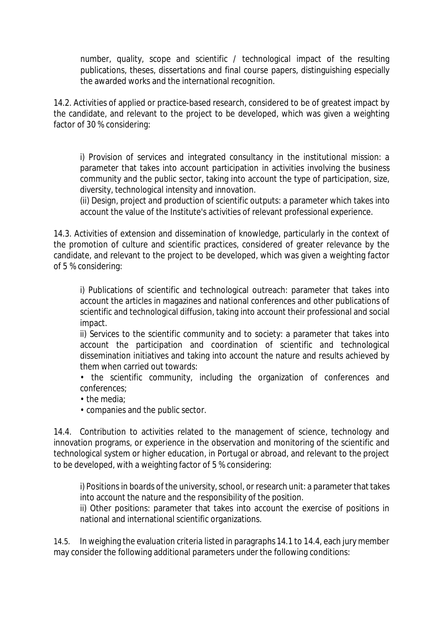number, quality, scope and scientific / technological impact of the resulting publications, theses, dissertations and final course papers, distinguishing especially the awarded works and the international recognition.

14.2. Activities of applied or practice-based research, considered to be of greatest impact by the candidate, and relevant to the project to be developed, which was given a weighting factor of 30 % considering:

i) Provision of services and integrated consultancy in the institutional mission: a parameter that takes into account participation in activities involving the business community and the public sector, taking into account the type of participation, size, diversity, technological intensity and innovation.

(ii) Design, project and production of scientific outputs: a parameter which takes into account the value of the Institute's activities of relevant professional experience.

14.3. Activities of extension and dissemination of knowledge, particularly in the context of the promotion of culture and scientific practices, considered of greater relevance by the candidate, and relevant to the project to be developed, which was given a weighting factor of 5 % considering:

i) Publications of scientific and technological outreach: parameter that takes into account the articles in magazines and national conferences and other publications of scientific and technological diffusion, taking into account their professional and social impact.

ii) Services to the scientific community and to society: a parameter that takes into account the participation and coordination of scientific and technological dissemination initiatives and taking into account the nature and results achieved by them when carried out towards:

• the scientific community, including the organization of conferences and conferences;

- the media;
- companies and the public sector.

14.4. Contribution to activities related to the management of science, technology and innovation programs, or experience in the observation and monitoring of the scientific and technological system or higher education, in Portugal or abroad, and relevant to the project to be developed, with a weighting factor of 5 % considering:

i) Positions in boards of the university, school, or research unit: a parameter that takes into account the nature and the responsibility of the position.

ii) Other positions: parameter that takes into account the exercise of positions in national and international scientific organizations.

14.5. In weighing the evaluation criteria listed in paragraphs 14.1 to 14.4, each jury member may consider the following additional parameters under the following conditions: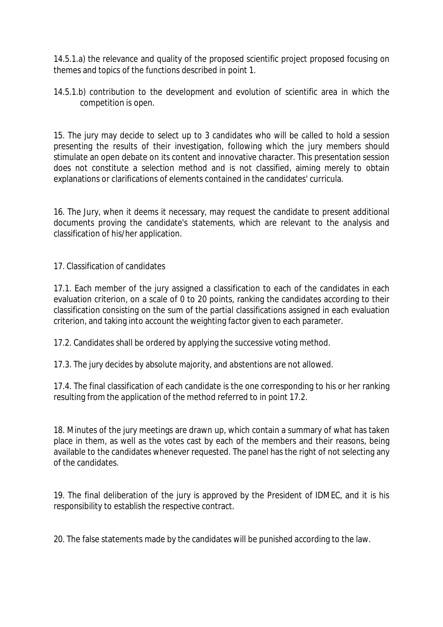14.5.1.a) the relevance and quality of the proposed scientific project proposed focusing on themes and topics of the functions described in point 1.

14.5.1.b) contribution to the development and evolution of scientific area in which the competition is open.

15. The jury may decide to select up to 3 candidates who will be called to hold a session presenting the results of their investigation, following which the jury members should stimulate an open debate on its content and innovative character. This presentation session does not constitute a selection method and is not classified, aiming merely to obtain explanations or clarifications of elements contained in the candidates' curricula.

16. The Jury, when it deems it necessary, may request the candidate to present additional documents proving the candidate's statements, which are relevant to the analysis and classification of his/her application.

17. Classification of candidates

17.1. Each member of the jury assigned a classification to each of the candidates in each evaluation criterion, on a scale of 0 to 20 points, ranking the candidates according to their classification consisting on the sum of the partial classifications assigned in each evaluation criterion, and taking into account the weighting factor given to each parameter.

17.2. Candidates shall be ordered by applying the successive voting method.

17.3. The jury decides by absolute majority, and abstentions are not allowed.

17.4. The final classification of each candidate is the one corresponding to his or her ranking resulting from the application of the method referred to in point 17.2.

18. Minutes of the jury meetings are drawn up, which contain a summary of what has taken place in them, as well as the votes cast by each of the members and their reasons, being available to the candidates whenever requested. The panel has the right of not selecting any of the candidates.

19. The final deliberation of the jury is approved by the President of IDMEC, and it is his responsibility to establish the respective contract.

20. The false statements made by the candidates will be punished according to the law.